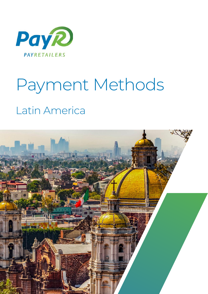

# Payment Methods Latin America

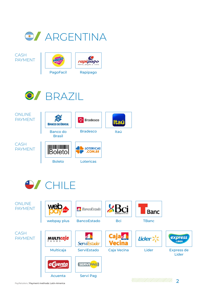

CASH PAYMENT





$$
\bigcirc / \text{BRAZIL}
$$





Express de Lider

**EXPress**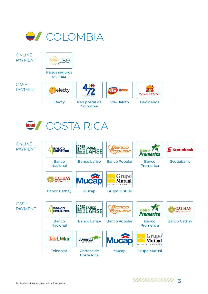

**ONLINE** PAYMENT



Pagos seguros en linea

CASH PAYMENT





Colombia







Efecty Red postal de Via-Baloto Davivienda

**COSTA RICA** 

ONI INF PAYMENT



**BANCO<br>NACIONAL** 



Banco Lafise

Mucap





Banco Promerica



**Scotiabank** 



Banco Cathay

**BANCO** 





Grupo Mutual

Banco Popular

CASH PAYMENT



Teledolar Correos de Costa Rica

**Mucap** 



Banco Cathay

Grupo Mutual

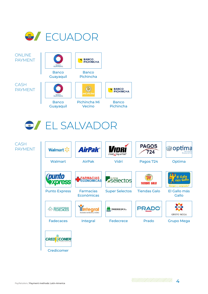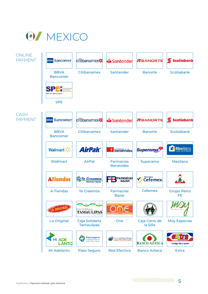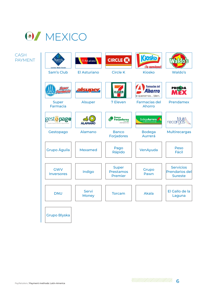## **O** MEXICO

CASH PAYMENT

| <b>Savings Made Simple</b>      | El Asturiano          | <b>CIRCLE CO</b>                     | <b>Kiosko</b><br>¡Te conviene!                    |                                                             |
|---------------------------------|-----------------------|--------------------------------------|---------------------------------------------------|-------------------------------------------------------------|
| Sam's Club                      | <b>El Asturiano</b>   | <b>Circle K</b>                      | <b>Kiosko</b>                                     | Waldo's                                                     |
| meer<br>anii Gele               | alsuper               |                                      | <b>Farmacias del</b><br>horro<br>e queremos bien. | <b>PRENOA</b><br>MŸ                                         |
| <b>Super</b><br><b>Farmacia</b> | <b>Alsuper</b>        | 7 Eleven                             | <b>Farmacias del</b><br><b>Ahorro</b>             | Prendamex                                                   |
| gesto pago                      | <b>AMANO</b>          | Forjadores                           | Bodega Aurrera                                    | <b>NUT</b><br>recargas                                      |
| Gestopago                       | Alamano               | <b>Banco</b><br>Forjadores           | <b>Bodega</b><br>Aurrerá                          | <b>Multirecargas</b>                                        |
| Grupo Águila                    | <b>Mexamed</b>        | Pago<br>Rápido                       | VenAyuda                                          | Peso<br>Fácil                                               |
| <b>GWV</b><br><b>Inversores</b> | Indigo                | <b>Super</b><br>Prestamos<br>Premier | Grupo<br>Pawn                                     | <b>Servicios</b><br><b>Prendarios del</b><br><b>Sureste</b> |
| <b>DNU</b>                      | Servi<br><b>Money</b> | <b>Torcam</b>                        | <b>Akala</b>                                      | El Gallo de la<br>Laguna                                    |
| <b>Grupo Blyska</b>             |                       |                                      |                                                   |                                                             |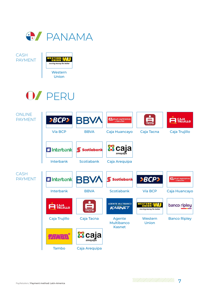

CASH PAYMENT



## OZ PERU